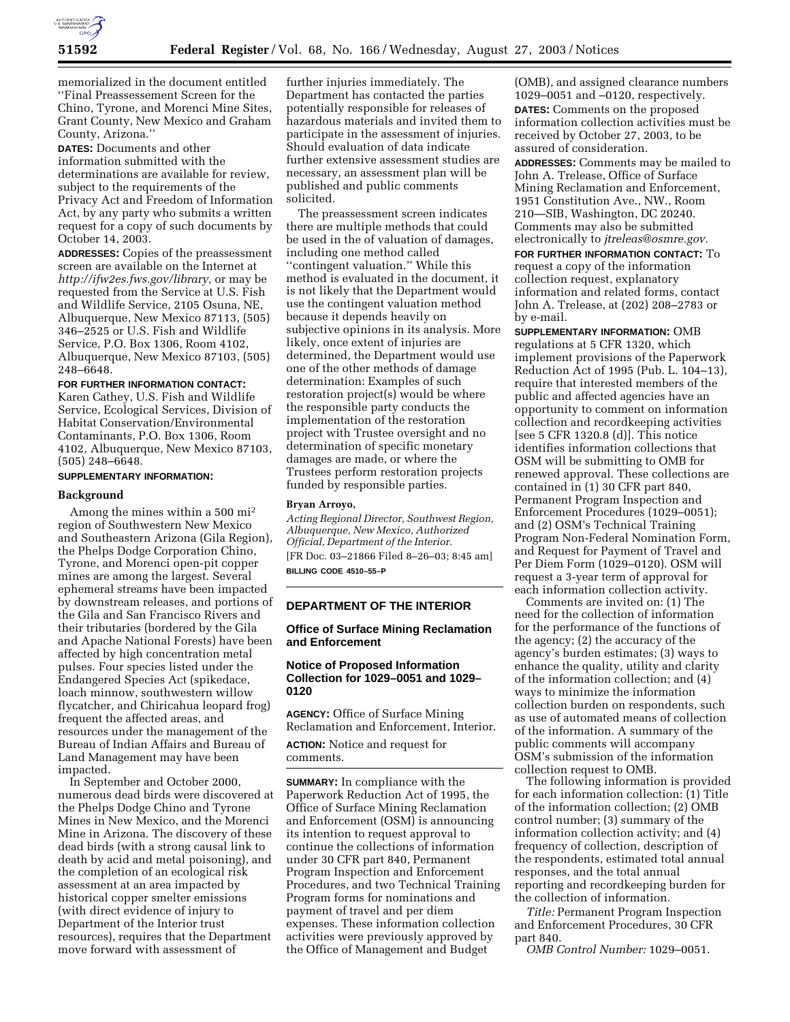

memorialized in the document entitled ''Final Preassessement Screen for the Chino, Tyrone, and Morenci Mine Sites, Grant County, New Mexico and Graham County, Arizona.''

**DATES:** Documents and other information submitted with the determinations are available for review, subject to the requirements of the Privacy Act and Freedom of Information Act, by any party who submits a written request for a copy of such documents by October 14, 2003.

**ADDRESSES:** Copies of the preassessment screen are available on the Internet at *http://ifw2es.fws.gov/library,* or may be requested from the Service at U.S. Fish and Wildlife Service, 2105 Osuna, NE, Albuquerque, New Mexico 87113, (505) 346–2525 or U.S. Fish and Wildlife Service, P.O. Box 1306, Room 4102, Albuquerque, New Mexico 87103, (505) 248–6648.

## **FOR FURTHER INFORMATION CONTACT:** Karen Cathey, U.S. Fish and Wildlife Service, Ecological Services, Division of Habitat Conservation/Environmental Contaminants, P.O. Box 1306, Room 4102, Albuquerque, New Mexico 87103, (505) 248–6648.

### **SUPPLEMENTARY INFORMATION:**

### **Background**

Among the mines within a 500 mi2 region of Southwestern New Mexico and Southeastern Arizona (Gila Region), the Phelps Dodge Corporation Chino, Tyrone, and Morenci open-pit copper mines are among the largest. Several ephemeral streams have been impacted by downstream releases, and portions of the Gila and San Francisco Rivers and their tributaries (bordered by the Gila and Apache National Forests) have been affected by high concentration metal pulses. Four species listed under the Endangered Species Act (spikedace, loach minnow, southwestern willow flycatcher, and Chiricahua leopard frog) frequent the affected areas, and resources under the management of the Bureau of Indian Affairs and Bureau of Land Management may have been impacted.

In September and October 2000, numerous dead birds were discovered at the Phelps Dodge Chino and Tyrone Mines in New Mexico, and the Morenci Mine in Arizona. The discovery of these dead birds (with a strong causal link to death by acid and metal poisoning), and the completion of an ecological risk assessment at an area impacted by historical copper smelter emissions (with direct evidence of injury to Department of the Interior trust resources), requires that the Department move forward with assessment of

further injuries immediately. The Department has contacted the parties potentially responsible for releases of hazardous materials and invited them to participate in the assessment of injuries. Should evaluation of data indicate further extensive assessment studies are necessary, an assessment plan will be published and public comments solicited.

The preassessment screen indicates there are multiple methods that could be used in the of valuation of damages, including one method called ''contingent valuation.'' While this method is evaluated in the document, it is not likely that the Department would use the contingent valuation method because it depends heavily on subjective opinions in its analysis. More likely, once extent of injuries are determined, the Department would use one of the other methods of damage determination: Examples of such restoration project(s) would be where the responsible party conducts the implementation of the restoration project with Trustee oversight and no determination of specific monetary damages are made, or where the Trustees perform restoration projects funded by responsible parties.

#### **Bryan Arroyo,**

*Acting Regional Director, Southwest Region, Albuquerque, New Mexico, Authorized Official, Department of the Interior.* [FR Doc. 03–21866 Filed 8–26–03; 8:45 am] **BILLING CODE 4510–55–P**

### **DEPARTMENT OF THE INTERIOR**

## **Office of Surface Mining Reclamation and Enforcement**

# **Notice of Proposed Information Collection for 1029–0051 and 1029– 0120**

**AGENCY:** Office of Surface Mining Reclamation and Enforcement, Interior.

**ACTION:** Notice and request for comments.

**SUMMARY:** In compliance with the Paperwork Reduction Act of 1995, the Office of Surface Mining Reclamation and Enforcement (OSM) is announcing its intention to request approval to continue the collections of information under 30 CFR part 840, Permanent Program Inspection and Enforcement Procedures, and two Technical Training Program forms for nominations and payment of travel and per diem expenses. These information collection activities were previously approved by the Office of Management and Budget

(OMB), and assigned clearance numbers 1029–0051 and –0120, respectively. **DATES:** Comments on the proposed information collection activities must be received by October 27, 2003, to be assured of consideration.

**ADDRESSES:** Comments may be mailed to John A. Trelease, Office of Surface Mining Reclamation and Enforcement, 1951 Constitution Ave., NW., Room 210—SIB, Washington, DC 20240. Comments may also be submitted electronically to *jtreleas@osmre.gov.*

**FOR FURTHER INFORMATION CONTACT:** To request a copy of the information collection request, explanatory information and related forms, contact John A. Trelease, at (202) 208–2783 or by e-mail.

**SUPPLEMENTARY INFORMATION:** OMB regulations at 5 CFR 1320, which implement provisions of the Paperwork Reduction Act of 1995 (Pub. L. 104–13), require that interested members of the public and affected agencies have an opportunity to comment on information collection and recordkeeping activities [see 5 CFR 1320.8 (d)]. This notice identifies information collections that OSM will be submitting to OMB for renewed approval. These collections are contained in (1) 30 CFR part 840, Permanent Program Inspection and Enforcement Procedures (1029–0051); and (2) OSM's Technical Training Program Non-Federal Nomination Form, and Request for Payment of Travel and Per Diem Form (1029–0120). OSM will request a 3-year term of approval for each information collection activity.

Comments are invited on: (1) The need for the collection of information for the performance of the functions of the agency; (2) the accuracy of the agency's burden estimates; (3) ways to enhance the quality, utility and clarity of the information collection; and (4) ways to minimize the information collection burden on respondents, such as use of automated means of collection of the information. A summary of the public comments will accompany OSM's submission of the information collection request to OMB.

The following information is provided for each information collection: (1) Title of the information collection; (2) OMB control number; (3) summary of the information collection activity; and (4) frequency of collection, description of the respondents, estimated total annual responses, and the total annual reporting and recordkeeping burden for the collection of information.

*Title:* Permanent Program Inspection and Enforcement Procedures, 30 CFR part 840.

*OMB Control Number:* 1029–0051.